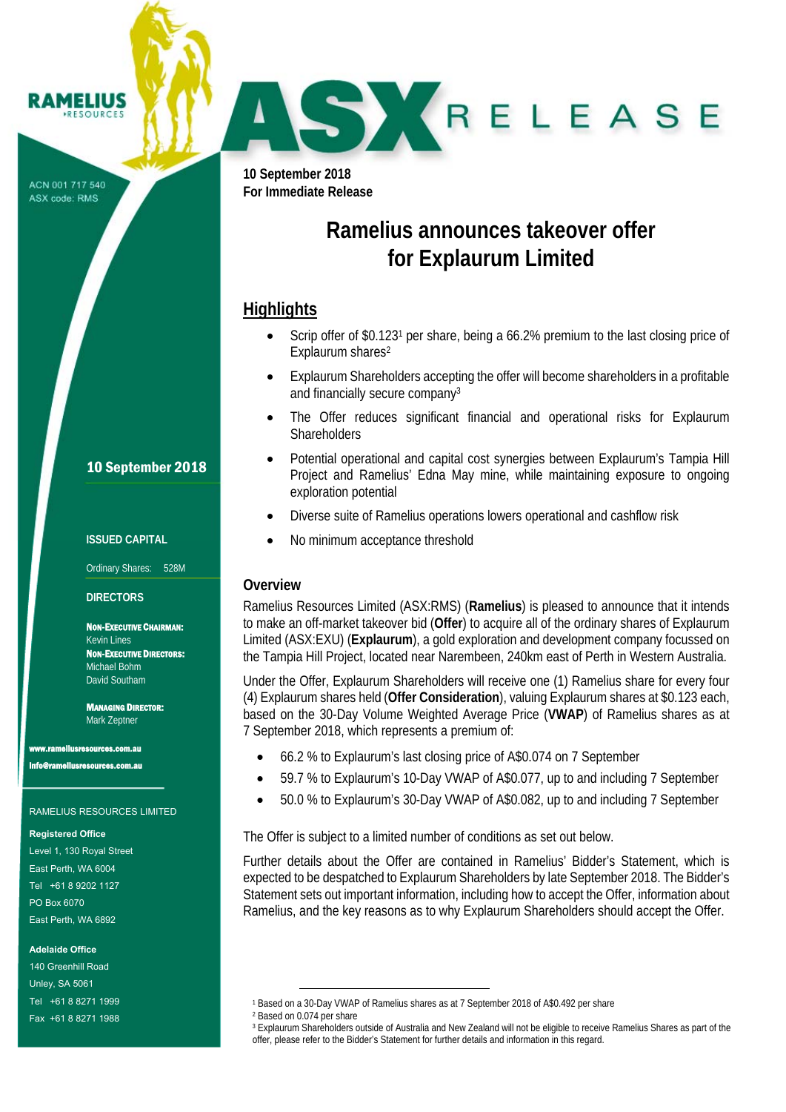**10 September 2018 For Immediate Release** 

# **Ramelius announces takeover offer for Explaurum Limited**

SKRELEASE

#### **Highlights**

- Scrip offer of \$0.1231 per share, being a 66.2% premium to the last closing price of Explaurum shares<sup>2</sup>
- Explaurum Shareholders accepting the offer will become shareholders in a profitable and financially secure company<sup>3</sup>
- The Offer reduces significant financial and operational risks for Explaurum **Shareholders**
- Potential operational and capital cost synergies between Explaurum's Tampia Hill Project and Ramelius' Edna May mine, while maintaining exposure to ongoing exploration potential
- Diverse suite of Ramelius operations lowers operational and cashflow risk
- No minimum acceptance threshold

#### **Overview**

Ramelius Resources Limited (ASX:RMS) (**Ramelius**) is pleased to announce that it intends to make an off-market takeover bid (**Offer**) to acquire all of the ordinary shares of Explaurum Limited (ASX:EXU) (**Explaurum**), a gold exploration and development company focussed on the Tampia Hill Project, located near Narembeen, 240km east of Perth in Western Australia.

Under the Offer, Explaurum Shareholders will receive one (1) Ramelius share for every four (4) Explaurum shares held (**Offer Consideration**), valuing Explaurum shares at \$0.123 each, based on the 30-Day Volume Weighted Average Price (**VWAP**) of Ramelius shares as at 7 September 2018, which represents a premium of:

- 66.2 % to Explaurum's last closing price of A\$0.074 on 7 September
- 59.7 % to Explaurum's 10-Day VWAP of A\$0.077, up to and including 7 September
- 50.0 % to Explaurum's 30-Day VWAP of A\$0.082, up to and including 7 September

The Offer is subject to a limited number of conditions as set out below.

Further details about the Offer are contained in Ramelius' Bidder's Statement, which is expected to be despatched to Explaurum Shareholders by late September 2018. The Bidder's Statement sets out important information, including how to accept the Offer, information about Ramelius, and the key reasons as to why Explaurum Shareholders should accept the Offer.

 $\overline{a}$ 

ACN 001 717 540 ASX code: RMS

#### 10 September 2018

#### **ISSUED CAPITAL**

Ordinary Shares: 528M

#### **DIRECTORS**

NON-EXECUTIVE CHAIRMAN: Kevin Lines NON-EXECUTIVE DIRECTORS: Michael Bohm David Southam

MANAGING DIRECTOR: Mark Zeptner

www.rameliusresources.com.au info@rameliusresources.com.au

#### RAMELIUS RESOURCES LIMITED

#### **Registered Office**

Level 1, 130 Royal Street East Perth, WA 6004 Tel +61 8 9202 1127 PO Box 6070 East Perth, WA 6892

**Adelaide Office** 

140 Greenhill Road Unley, SA 5061 Tel +61 8 8271 1999 Fax +61 8 8271 1988

<sup>&</sup>lt;sup>1</sup> Based on a 30-Day VWAP of Ramelius shares as at 7 September 2018 of A\$0.492 per share <sup>2</sup> Based on 0.074 per share

<sup>3</sup> Explaurum Shareholders outside of Australia and New Zealand will not be eligible to receive Ramelius Shares as part of the offer, please refer to the Bidder's Statement for further details and information in this regard.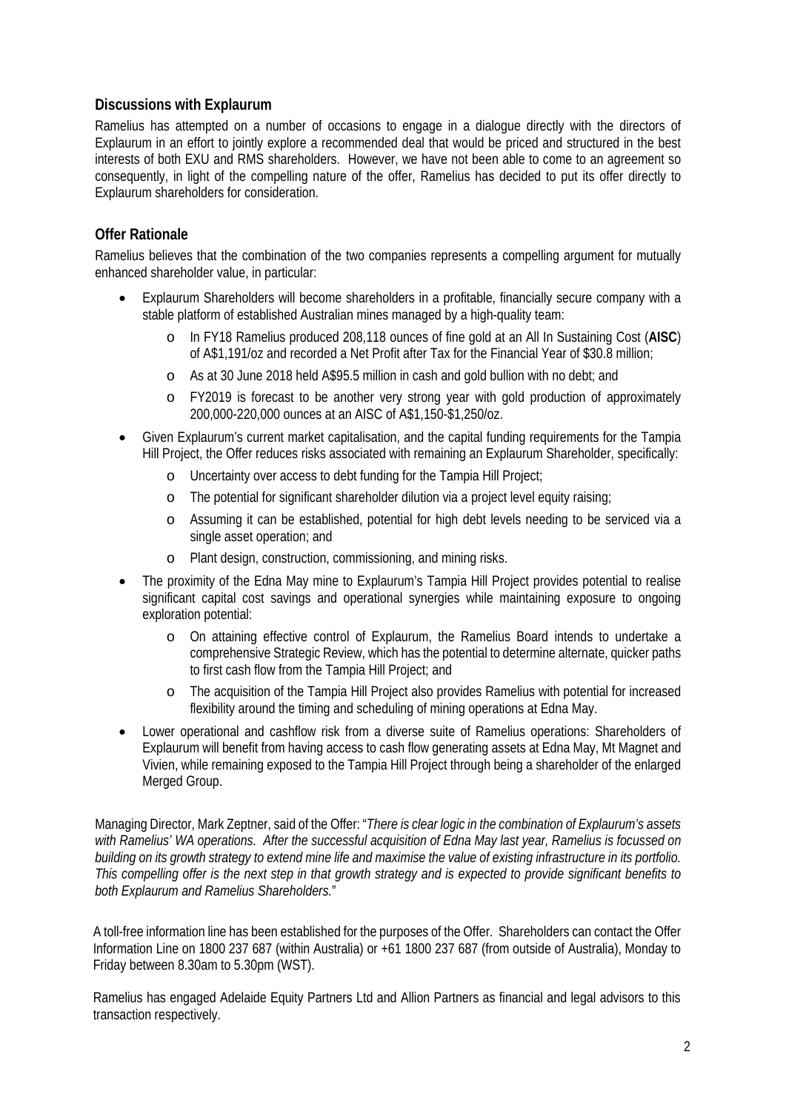#### **Discussions with Explaurum**

Ramelius has attempted on a number of occasions to engage in a dialogue directly with the directors of Explaurum in an effort to jointly explore a recommended deal that would be priced and structured in the best interests of both EXU and RMS shareholders. However, we have not been able to come to an agreement so consequently, in light of the compelling nature of the offer, Ramelius has decided to put its offer directly to Explaurum shareholders for consideration.

### **Offer Rationale**

Ramelius believes that the combination of the two companies represents a compelling argument for mutually enhanced shareholder value, in particular:

- Explaurum Shareholders will become shareholders in a profitable, financially secure company with a stable platform of established Australian mines managed by a high-quality team:
	- o In FY18 Ramelius produced 208,118 ounces of fine gold at an All In Sustaining Cost (**AISC**) of A\$1,191/oz and recorded a Net Profit after Tax for the Financial Year of \$30.8 million;
	- o As at 30 June 2018 held A\$95.5 million in cash and gold bullion with no debt; and
	- o FY2019 is forecast to be another very strong year with gold production of approximately 200,000-220,000 ounces at an AISC of A\$1,150-\$1,250/oz.
- Given Explaurum's current market capitalisation, and the capital funding requirements for the Tampia Hill Project, the Offer reduces risks associated with remaining an Explaurum Shareholder, specifically:
	- o Uncertainty over access to debt funding for the Tampia Hill Project;
	- o The potential for significant shareholder dilution via a project level equity raising;
	- o Assuming it can be established, potential for high debt levels needing to be serviced via a single asset operation; and
	- o Plant design, construction, commissioning, and mining risks.
- The proximity of the Edna May mine to Explaurum's Tampia Hill Project provides potential to realise significant capital cost savings and operational synergies while maintaining exposure to ongoing exploration potential:
	- o On attaining effective control of Explaurum, the Ramelius Board intends to undertake a comprehensive Strategic Review, which has the potential to determine alternate, quicker paths to first cash flow from the Tampia Hill Project; and
	- o The acquisition of the Tampia Hill Project also provides Ramelius with potential for increased flexibility around the timing and scheduling of mining operations at Edna May.
- Lower operational and cashflow risk from a diverse suite of Ramelius operations: Shareholders of Explaurum will benefit from having access to cash flow generating assets at Edna May, Mt Magnet and Vivien, while remaining exposed to the Tampia Hill Project through being a shareholder of the enlarged Merged Group.

Managing Director, Mark Zeptner, said of the Offer: "*There is clear logic in the combination of Explaurum's assets with Ramelius' WA operations. After the successful acquisition of Edna May last year, Ramelius is focussed on building on its growth strategy to extend mine life and maximise the value of existing infrastructure in its portfolio. This compelling offer is the next step in that growth strategy and is expected to provide significant benefits to both Explaurum and Ramelius Shareholders.*"

A toll-free information line has been established for the purposes of the Offer. Shareholders can contact the Offer Information Line on 1800 237 687 (within Australia) or +61 1800 237 687 (from outside of Australia), Monday to Friday between 8.30am to 5.30pm (WST).

Ramelius has engaged Adelaide Equity Partners Ltd and Allion Partners as financial and legal advisors to this transaction respectively.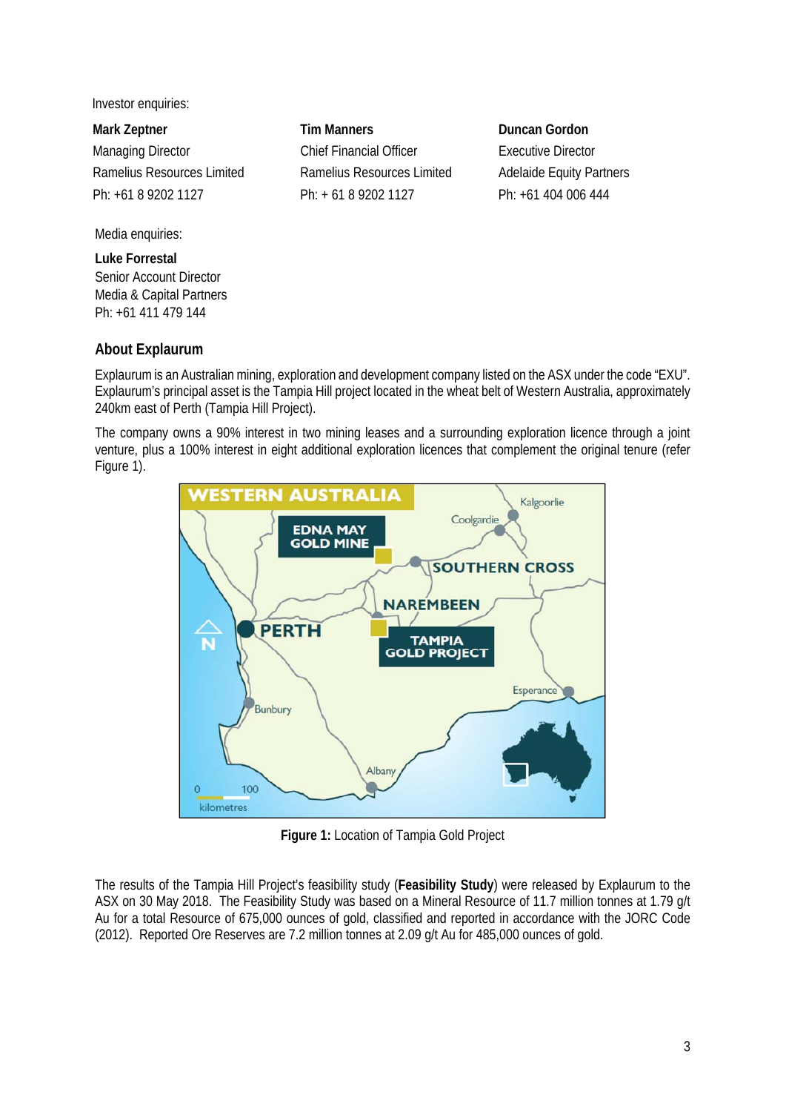Investor enquiries:

**Mark Zeptner Tim Manners Duncan Gordon** 

Media enquiries:

**Luke Forrestal**  Senior Account Director Media & Capital Partners Ph: +61 411 479 144

## **About Explaurum**

Managing Director **Chief Financial Officer** Executive Director Ramelius Resources Limited Ramelius Resources Limited Adelaide Equity Partners Ph: +61 8 9202 1127 Ph: + 61 8 9202 1127 Ph: +61 404 006 444

Explaurum is an Australian mining, exploration and development company listed on the ASX under the code "EXU". Explaurum's principal asset is the Tampia Hill project located in the wheat belt of Western Australia, approximately 240km east of Perth (Tampia Hill Project).

The company owns a 90% interest in two mining leases and a surrounding exploration licence through a joint venture, plus a 100% interest in eight additional exploration licences that complement the original tenure (refer Figure 1).



**Figure 1:** Location of Tampia Gold Project

The results of the Tampia Hill Project's feasibility study (**Feasibility Study**) were released by Explaurum to the ASX on 30 May 2018. The Feasibility Study was based on a Mineral Resource of 11.7 million tonnes at 1.79 g/t Au for a total Resource of 675,000 ounces of gold, classified and reported in accordance with the JORC Code (2012). Reported Ore Reserves are 7.2 million tonnes at 2.09 g/t Au for 485,000 ounces of gold.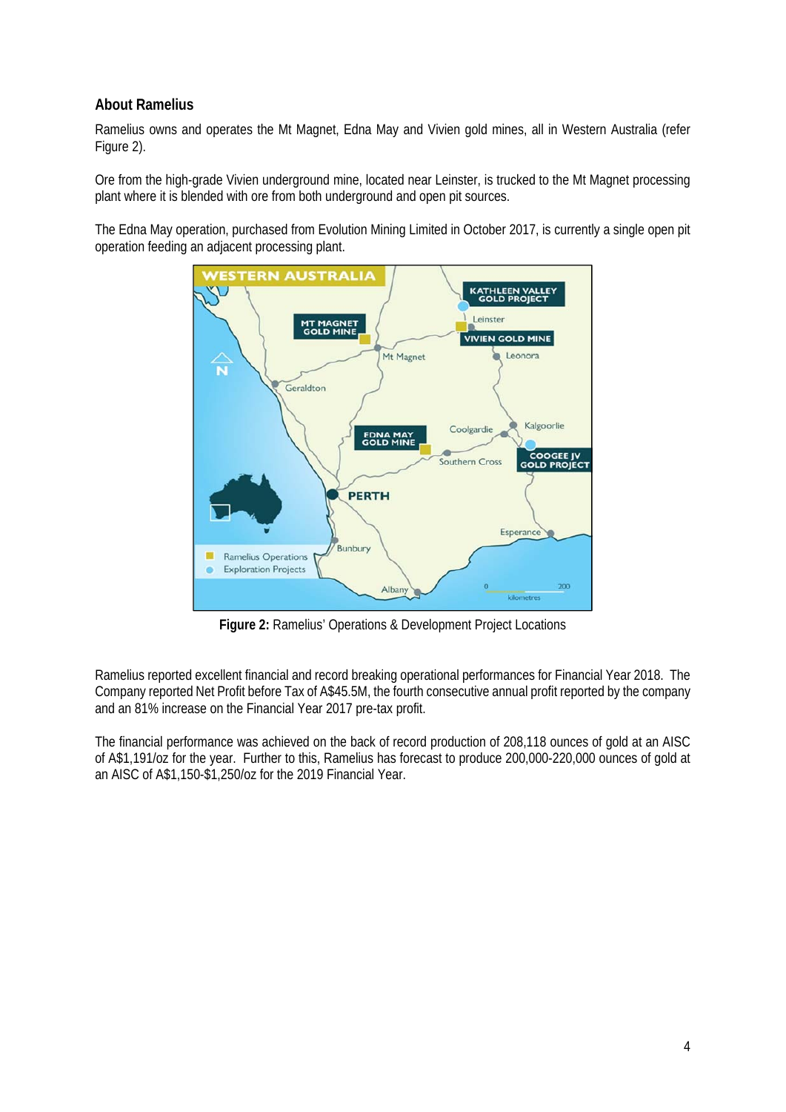### **About Ramelius**

Ramelius owns and operates the Mt Magnet, Edna May and Vivien gold mines, all in Western Australia (refer Figure 2).

Ore from the high-grade Vivien underground mine, located near Leinster, is trucked to the Mt Magnet processing plant where it is blended with ore from both underground and open pit sources.

The Edna May operation, purchased from Evolution Mining Limited in October 2017, is currently a single open pit operation feeding an adjacent processing plant.



**Figure 2:** Ramelius' Operations & Development Project Locations

Ramelius reported excellent financial and record breaking operational performances for Financial Year 2018. The Company reported Net Profit before Tax of A\$45.5M, the fourth consecutive annual profit reported by the company and an 81% increase on the Financial Year 2017 pre-tax profit.

The financial performance was achieved on the back of record production of 208,118 ounces of gold at an AISC of A\$1,191/oz for the year. Further to this, Ramelius has forecast to produce 200,000-220,000 ounces of gold at an AISC of A\$1,150-\$1,250/oz for the 2019 Financial Year.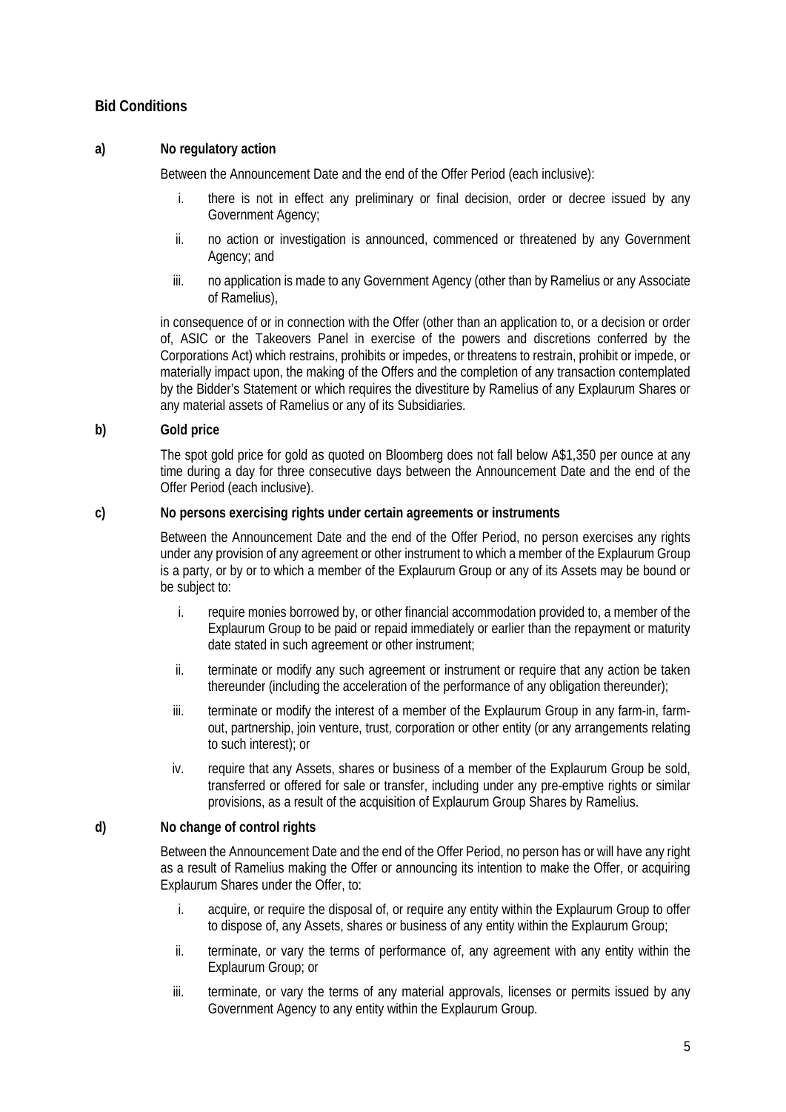## **Bid Conditions**

#### **a) No regulatory action**

Between the Announcement Date and the end of the Offer Period (each inclusive):

- i. there is not in effect any preliminary or final decision, order or decree issued by any Government Agency;
- ii. no action or investigation is announced, commenced or threatened by any Government Agency; and
- iii. no application is made to any Government Agency (other than by Ramelius or any Associate of Ramelius),

 in consequence of or in connection with the Offer (other than an application to, or a decision or order of, ASIC or the Takeovers Panel in exercise of the powers and discretions conferred by the Corporations Act) which restrains, prohibits or impedes, or threatens to restrain, prohibit or impede, or materially impact upon, the making of the Offers and the completion of any transaction contemplated by the Bidder's Statement or which requires the divestiture by Ramelius of any Explaurum Shares or any material assets of Ramelius or any of its Subsidiaries.

#### **b) Gold price**

 The spot gold price for gold as quoted on Bloomberg does not fall below A\$1,350 per ounce at any time during a day for three consecutive days between the Announcement Date and the end of the Offer Period (each inclusive).

#### **c) No persons exercising rights under certain agreements or instruments**

 Between the Announcement Date and the end of the Offer Period, no person exercises any rights under any provision of any agreement or other instrument to which a member of the Explaurum Group is a party, or by or to which a member of the Explaurum Group or any of its Assets may be bound or be subject to:

- i. require monies borrowed by, or other financial accommodation provided to, a member of the Explaurum Group to be paid or repaid immediately or earlier than the repayment or maturity date stated in such agreement or other instrument;
- ii. terminate or modify any such agreement or instrument or require that any action be taken thereunder (including the acceleration of the performance of any obligation thereunder);
- iii. terminate or modify the interest of a member of the Explaurum Group in any farm-in, farmout, partnership, join venture, trust, corporation or other entity (or any arrangements relating to such interest); or
- iv. require that any Assets, shares or business of a member of the Explaurum Group be sold, transferred or offered for sale or transfer, including under any pre-emptive rights or similar provisions, as a result of the acquisition of Explaurum Group Shares by Ramelius.

#### **d) No change of control rights**

 Between the Announcement Date and the end of the Offer Period, no person has or will have any right as a result of Ramelius making the Offer or announcing its intention to make the Offer, or acquiring Explaurum Shares under the Offer, to:

- i. acquire, or require the disposal of, or require any entity within the Explaurum Group to offer to dispose of, any Assets, shares or business of any entity within the Explaurum Group;
- ii. terminate, or vary the terms of performance of, any agreement with any entity within the Explaurum Group; or
- iii. terminate, or vary the terms of any material approvals, licenses or permits issued by any Government Agency to any entity within the Explaurum Group.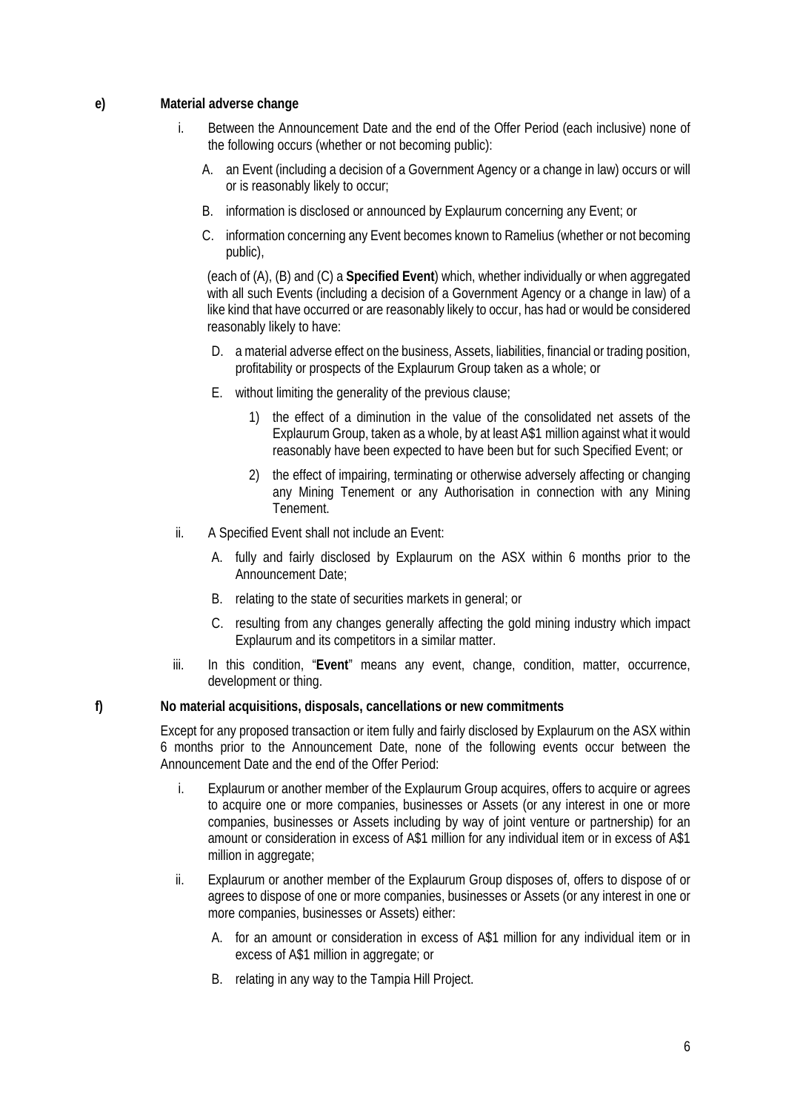#### **e) Material adverse change**

- i. Between the Announcement Date and the end of the Offer Period (each inclusive) none of the following occurs (whether or not becoming public):
	- A. an Event (including a decision of a Government Agency or a change in law) occurs or will or is reasonably likely to occur;
	- B. information is disclosed or announced by Explaurum concerning any Event; or
	- C. information concerning any Event becomes known to Ramelius (whether or not becoming public),

 (each of (A), (B) and (C) a **Specified Event**) which, whether individually or when aggregated with all such Events (including a decision of a Government Agency or a change in law) of a like kind that have occurred or are reasonably likely to occur, has had or would be considered reasonably likely to have:

- D. a material adverse effect on the business, Assets, liabilities, financial or trading position, profitability or prospects of the Explaurum Group taken as a whole; or
- E. without limiting the generality of the previous clause;
	- 1) the effect of a diminution in the value of the consolidated net assets of the Explaurum Group, taken as a whole, by at least A\$1 million against what it would reasonably have been expected to have been but for such Specified Event; or
	- 2) the effect of impairing, terminating or otherwise adversely affecting or changing any Mining Tenement or any Authorisation in connection with any Mining Tenement.
- ii. A Specified Event shall not include an Event:
	- A. fully and fairly disclosed by Explaurum on the ASX within 6 months prior to the Announcement Date;
	- B. relating to the state of securities markets in general; or
	- C. resulting from any changes generally affecting the gold mining industry which impact Explaurum and its competitors in a similar matter.
- iii. In this condition, "**Event**" means any event, change, condition, matter, occurrence, development or thing.

#### **f) No material acquisitions, disposals, cancellations or new commitments**

 Except for any proposed transaction or item fully and fairly disclosed by Explaurum on the ASX within 6 months prior to the Announcement Date, none of the following events occur between the Announcement Date and the end of the Offer Period:

- i. Explaurum or another member of the Explaurum Group acquires, offers to acquire or agrees to acquire one or more companies, businesses or Assets (or any interest in one or more companies, businesses or Assets including by way of joint venture or partnership) for an amount or consideration in excess of A\$1 million for any individual item or in excess of A\$1 million in aggregate;
- ii. Explaurum or another member of the Explaurum Group disposes of, offers to dispose of or agrees to dispose of one or more companies, businesses or Assets (or any interest in one or more companies, businesses or Assets) either:
	- A. for an amount or consideration in excess of A\$1 million for any individual item or in excess of A\$1 million in aggregate; or
	- B. relating in any way to the Tampia Hill Project.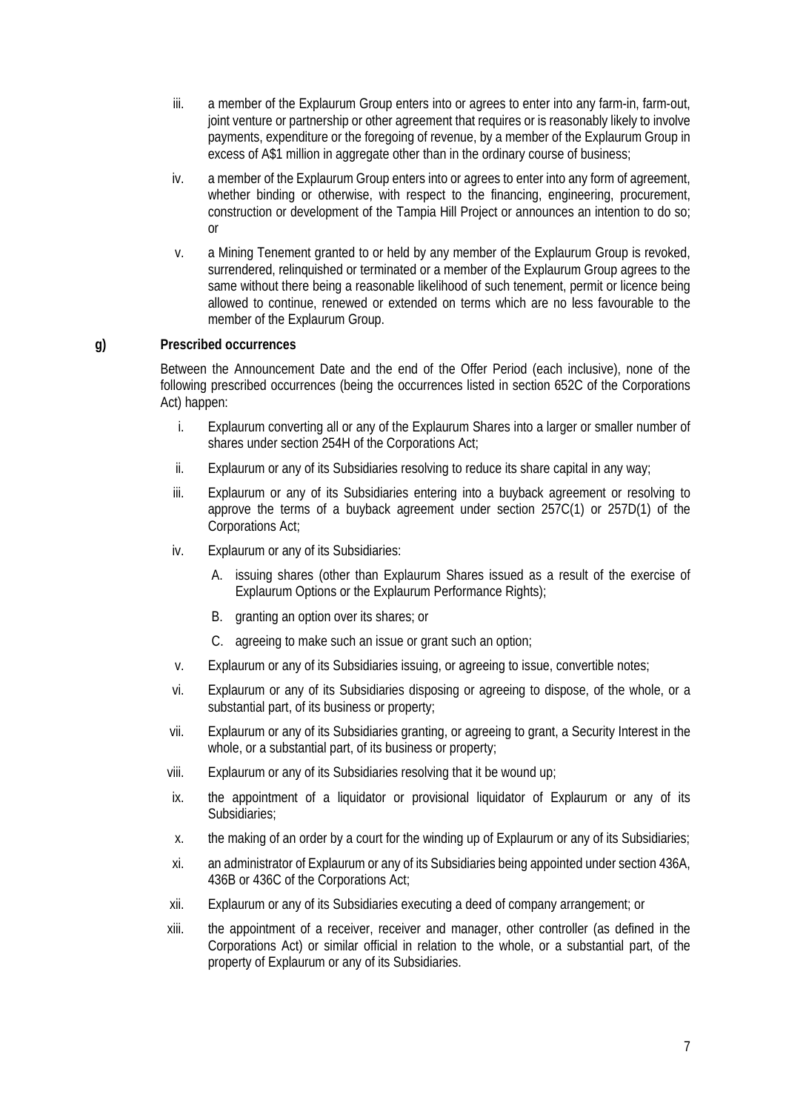- iii. a member of the Explaurum Group enters into or agrees to enter into any farm-in, farm-out, joint venture or partnership or other agreement that requires or is reasonably likely to involve payments, expenditure or the foregoing of revenue, by a member of the Explaurum Group in excess of A\$1 million in aggregate other than in the ordinary course of business;
- iv. a member of the Explaurum Group enters into or agrees to enter into any form of agreement, whether binding or otherwise, with respect to the financing, engineering, procurement, construction or development of the Tampia Hill Project or announces an intention to do so; or
- v. a Mining Tenement granted to or held by any member of the Explaurum Group is revoked, surrendered, relinquished or terminated or a member of the Explaurum Group agrees to the same without there being a reasonable likelihood of such tenement, permit or licence being allowed to continue, renewed or extended on terms which are no less favourable to the member of the Explaurum Group.

#### **g) Prescribed occurrences**

 Between the Announcement Date and the end of the Offer Period (each inclusive), none of the following prescribed occurrences (being the occurrences listed in section 652C of the Corporations Act) happen:

- i. Explaurum converting all or any of the Explaurum Shares into a larger or smaller number of shares under section 254H of the Corporations Act;
- ii. Explaurum or any of its Subsidiaries resolving to reduce its share capital in any way;
- iii. Explaurum or any of its Subsidiaries entering into a buyback agreement or resolving to approve the terms of a buyback agreement under section 257C(1) or 257D(1) of the Corporations Act;
- iv. Explaurum or any of its Subsidiaries:
	- A. issuing shares (other than Explaurum Shares issued as a result of the exercise of Explaurum Options or the Explaurum Performance Rights);
	- B. granting an option over its shares; or
	- C. agreeing to make such an issue or grant such an option;
- v. Explaurum or any of its Subsidiaries issuing, or agreeing to issue, convertible notes;
- vi. Explaurum or any of its Subsidiaries disposing or agreeing to dispose, of the whole, or a substantial part, of its business or property;
- vii. Explaurum or any of its Subsidiaries granting, or agreeing to grant, a Security Interest in the whole, or a substantial part, of its business or property;
- viii. Explaurum or any of its Subsidiaries resolving that it be wound up;
- ix. the appointment of a liquidator or provisional liquidator of Explaurum or any of its Subsidiaries;
- x. the making of an order by a court for the winding up of Explaurum or any of its Subsidiaries;
- xi. an administrator of Explaurum or any of its Subsidiaries being appointed under section 436A, 436B or 436C of the Corporations Act;
- xii. Explaurum or any of its Subsidiaries executing a deed of company arrangement; or
- xiii. the appointment of a receiver, receiver and manager, other controller (as defined in the Corporations Act) or similar official in relation to the whole, or a substantial part, of the property of Explaurum or any of its Subsidiaries.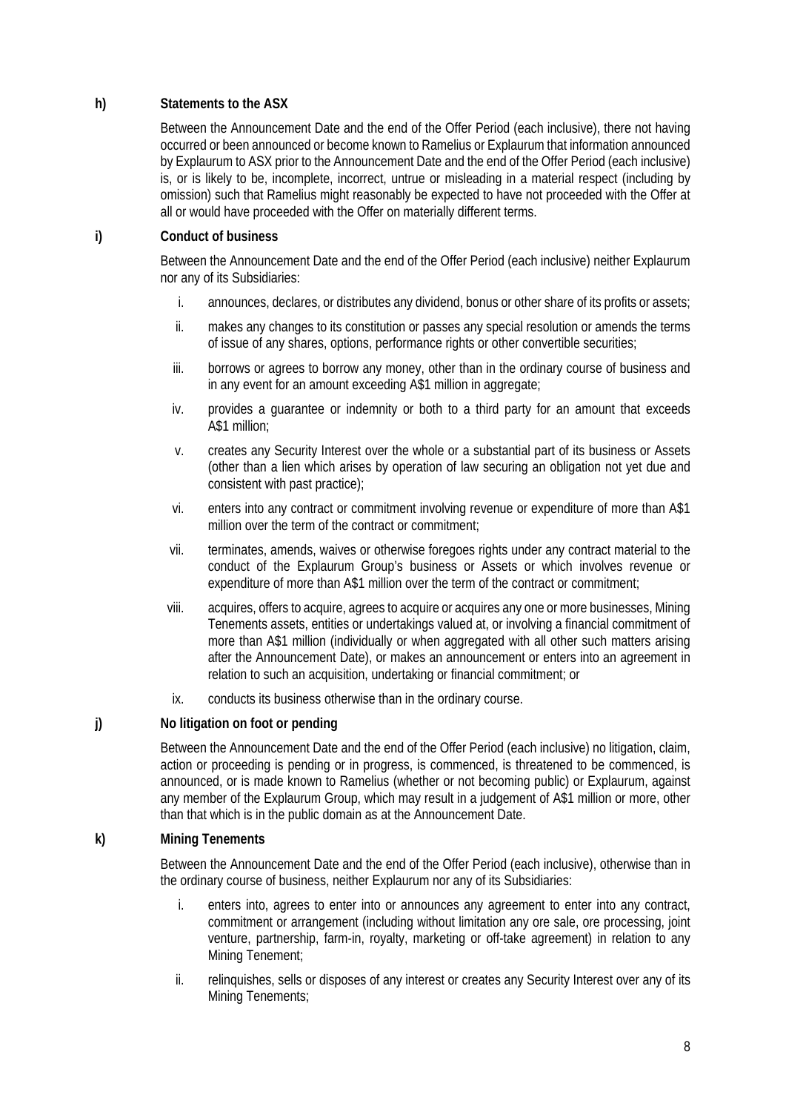#### **h) Statements to the ASX**

 Between the Announcement Date and the end of the Offer Period (each inclusive), there not having occurred or been announced or become known to Ramelius or Explaurum that information announced by Explaurum to ASX prior to the Announcement Date and the end of the Offer Period (each inclusive) is, or is likely to be, incomplete, incorrect, untrue or misleading in a material respect (including by omission) such that Ramelius might reasonably be expected to have not proceeded with the Offer at all or would have proceeded with the Offer on materially different terms.

#### **i) Conduct of business**

 Between the Announcement Date and the end of the Offer Period (each inclusive) neither Explaurum nor any of its Subsidiaries:

- i. announces, declares, or distributes any dividend, bonus or other share of its profits or assets;
- ii. makes any changes to its constitution or passes any special resolution or amends the terms of issue of any shares, options, performance rights or other convertible securities;
- iii. borrows or agrees to borrow any money, other than in the ordinary course of business and in any event for an amount exceeding A\$1 million in aggregate;
- iv. provides a guarantee or indemnity or both to a third party for an amount that exceeds A\$1 million;
- v. creates any Security Interest over the whole or a substantial part of its business or Assets (other than a lien which arises by operation of law securing an obligation not yet due and consistent with past practice);
- vi. enters into any contract or commitment involving revenue or expenditure of more than A\$1 million over the term of the contract or commitment;
- vii. terminates, amends, waives or otherwise foregoes rights under any contract material to the conduct of the Explaurum Group's business or Assets or which involves revenue or expenditure of more than A\$1 million over the term of the contract or commitment;
- viii. acquires, offers to acquire, agrees to acquire or acquires any one or more businesses, Mining Tenements assets, entities or undertakings valued at, or involving a financial commitment of more than A\$1 million (individually or when aggregated with all other such matters arising after the Announcement Date), or makes an announcement or enters into an agreement in relation to such an acquisition, undertaking or financial commitment; or
- ix. conducts its business otherwise than in the ordinary course.

#### **j) No litigation on foot or pending**

 Between the Announcement Date and the end of the Offer Period (each inclusive) no litigation, claim, action or proceeding is pending or in progress, is commenced, is threatened to be commenced, is announced, or is made known to Ramelius (whether or not becoming public) or Explaurum, against any member of the Explaurum Group, which may result in a judgement of A\$1 million or more, other than that which is in the public domain as at the Announcement Date.

#### **k) Mining Tenements**

 Between the Announcement Date and the end of the Offer Period (each inclusive), otherwise than in the ordinary course of business, neither Explaurum nor any of its Subsidiaries:

- i. enters into, agrees to enter into or announces any agreement to enter into any contract, commitment or arrangement (including without limitation any ore sale, ore processing, joint venture, partnership, farm-in, royalty, marketing or off-take agreement) in relation to any Mining Tenement;
- ii. relinquishes, sells or disposes of any interest or creates any Security Interest over any of its Mining Tenements;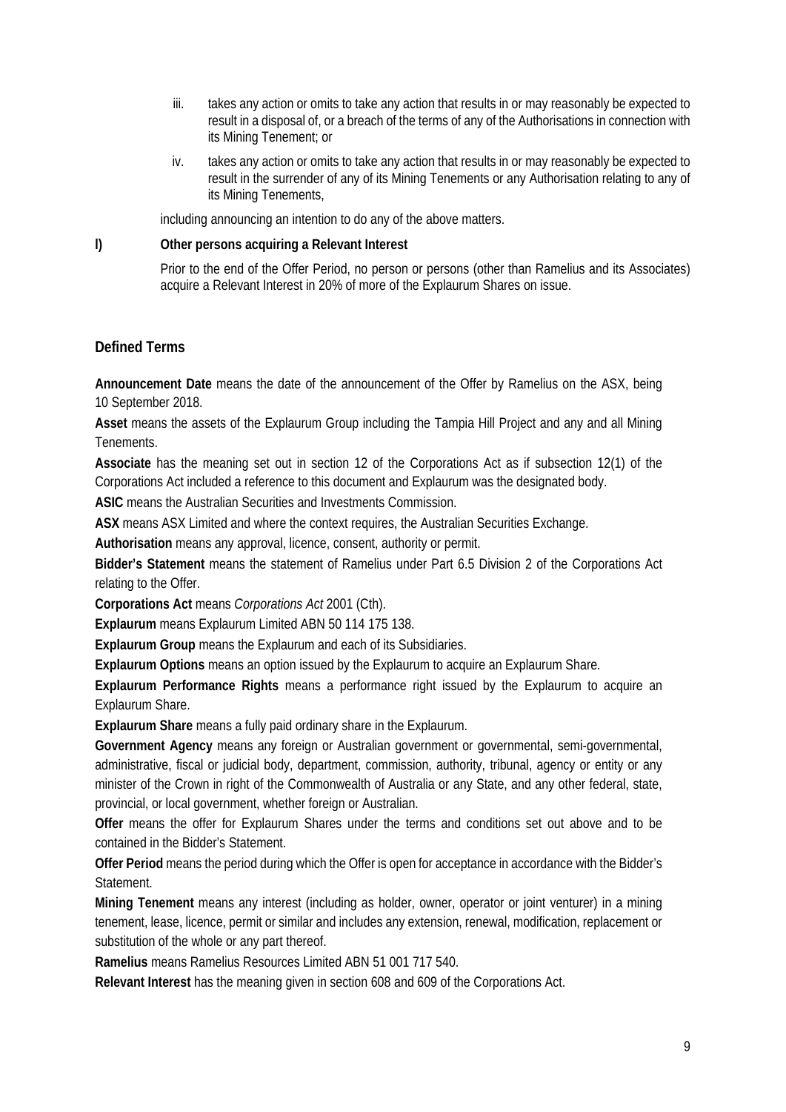- iii. takes any action or omits to take any action that results in or may reasonably be expected to result in a disposal of, or a breach of the terms of any of the Authorisations in connection with its Mining Tenement; or
- iv. takes any action or omits to take any action that results in or may reasonably be expected to result in the surrender of any of its Mining Tenements or any Authorisation relating to any of its Mining Tenements,

including announcing an intention to do any of the above matters.

**l) Other persons acquiring a Relevant Interest** 

 Prior to the end of the Offer Period, no person or persons (other than Ramelius and its Associates) acquire a Relevant Interest in 20% of more of the Explaurum Shares on issue.

### **Defined Terms**

**Announcement Date** means the date of the announcement of the Offer by Ramelius on the ASX, being 10 September 2018.

**Asset** means the assets of the Explaurum Group including the Tampia Hill Project and any and all Mining Tenements.

**Associate** has the meaning set out in section 12 of the Corporations Act as if subsection 12(1) of the Corporations Act included a reference to this document and Explaurum was the designated body.

**ASIC** means the Australian Securities and Investments Commission.

**ASX** means ASX Limited and where the context requires, the Australian Securities Exchange.

**Authorisation** means any approval, licence, consent, authority or permit.

**Bidder's Statement** means the statement of Ramelius under Part 6.5 Division 2 of the Corporations Act relating to the Offer.

**Corporations Act** means *Corporations Act* 2001 (Cth).

**Explaurum** means Explaurum Limited ABN 50 114 175 138.

**Explaurum Group** means the Explaurum and each of its Subsidiaries.

**Explaurum Options** means an option issued by the Explaurum to acquire an Explaurum Share.

**Explaurum Performance Rights** means a performance right issued by the Explaurum to acquire an Explaurum Share.

**Explaurum Share** means a fully paid ordinary share in the Explaurum.

**Government Agency** means any foreign or Australian government or governmental, semi-governmental, administrative, fiscal or judicial body, department, commission, authority, tribunal, agency or entity or any minister of the Crown in right of the Commonwealth of Australia or any State, and any other federal, state, provincial, or local government, whether foreign or Australian.

**Offer** means the offer for Explaurum Shares under the terms and conditions set out above and to be contained in the Bidder's Statement.

**Offer Period** means the period during which the Offer is open for acceptance in accordance with the Bidder's Statement.

**Mining Tenement** means any interest (including as holder, owner, operator or joint venturer) in a mining tenement, lease, licence, permit or similar and includes any extension, renewal, modification, replacement or substitution of the whole or any part thereof.

**Ramelius** means Ramelius Resources Limited ABN 51 001 717 540.

**Relevant Interest** has the meaning given in section 608 and 609 of the Corporations Act.